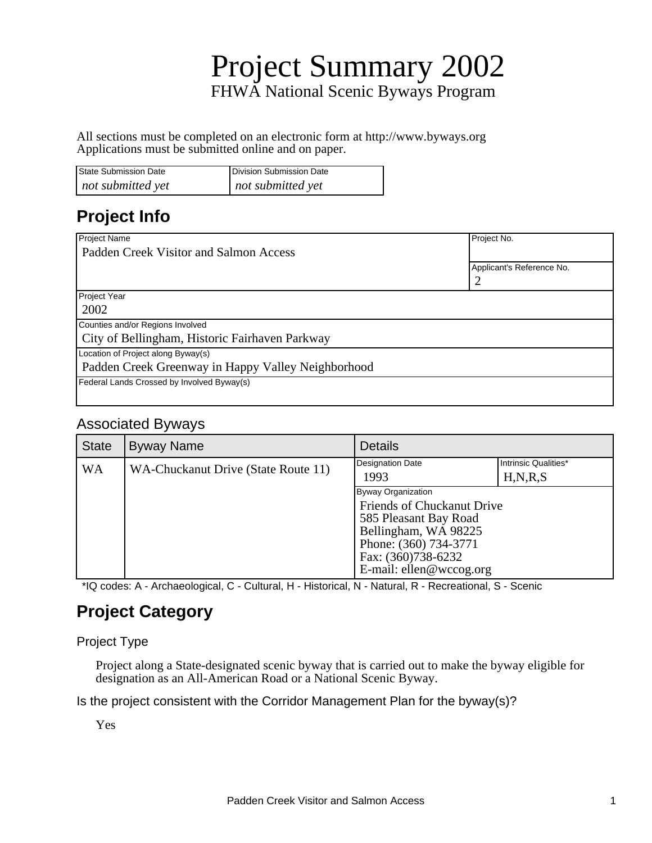# Project Summary 2002 FHWA National Scenic Byways Program

All sections must be completed on an electronic form at http://www.byways.org Applications must be submitted online and on paper.

| State Submission Date | Division Submission Date |
|-----------------------|--------------------------|
| not submitted yet     | not submitted yet        |

## **Project Info**

| Project Name                                       | Project No.               |
|----------------------------------------------------|---------------------------|
| Padden Creek Visitor and Salmon Access             |                           |
|                                                    | Applicant's Reference No. |
|                                                    |                           |
| Project Year                                       |                           |
| 2002                                               |                           |
| Counties and/or Regions Involved                   |                           |
| City of Bellingham, Historic Fairhaven Parkway     |                           |
| Location of Project along Byway(s)                 |                           |
| Padden Creek Greenway in Happy Valley Neighborhood |                           |
| Federal Lands Crossed by Involved Byway(s)         |                           |
|                                                    |                           |

### Associated Byways

| <b>State</b> | <b>Byway Name</b>                   | <b>Details</b>                                                                                                                                                              |                                    |
|--------------|-------------------------------------|-----------------------------------------------------------------------------------------------------------------------------------------------------------------------------|------------------------------------|
| WA           | WA-Chuckanut Drive (State Route 11) | Designation Date<br>1993                                                                                                                                                    | Intrinsic Qualities*<br>H, N, R, S |
|              |                                     | Byway Organization<br>Friends of Chuckanut Drive<br>585 Pleasant Bay Road<br>Bellingham, WA 98225<br>Phone: (360) 734-3771<br>Fax: (360)738-6232<br>E-mail: ellen@wccog.org |                                    |

\*IQ codes: A - Archaeological, C - Cultural, H - Historical, N - Natural, R - Recreational, S - Scenic

## **Project Category**

#### Project Type

Project along a State-designated scenic byway that is carried out to make the byway eligible for designation as an All-American Road or a National Scenic Byway.

Is the project consistent with the Corridor Management Plan for the byway(s)?

Yes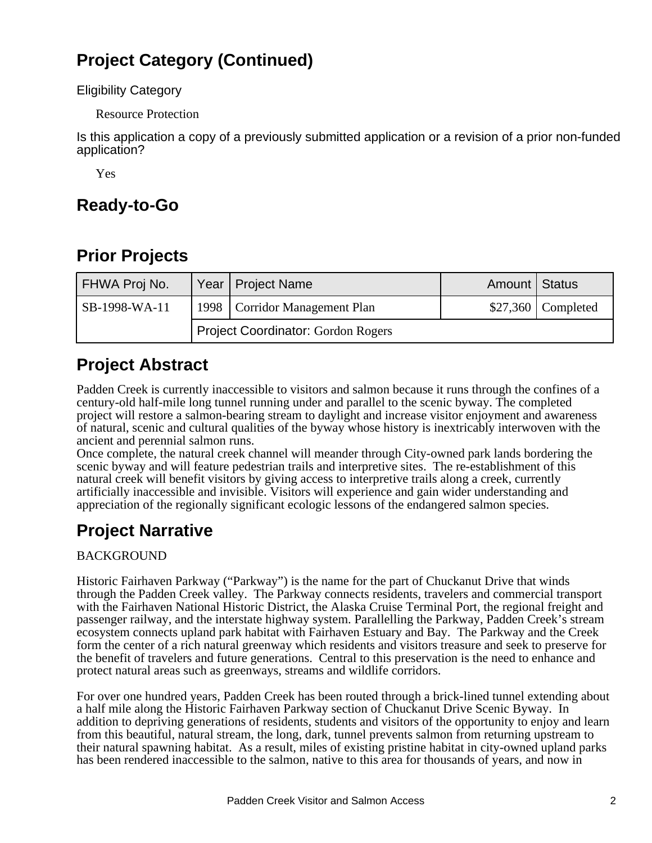## **Project Category (Continued)**

Eligibility Category

Resource Protection

Is this application a copy of a previously submitted application or a revision of a prior non-funded application?

Yes

## **Ready-to-Go**

## **Prior Projects**

| FHWA Proj No. |                                           | Year   Project Name             | Amount   Status |                     |
|---------------|-------------------------------------------|---------------------------------|-----------------|---------------------|
| SB-1998-WA-11 |                                           | 1998   Corridor Management Plan |                 | $$27,360$ Completed |
|               | <b>Project Coordinator: Gordon Rogers</b> |                                 |                 |                     |

### **Project Abstract**

Padden Creek is currently inaccessible to visitors and salmon because it runs through the confines of a century-old half-mile long tunnel running under and parallel to the scenic byway. The completed project will restore a salmon-bearing stream to daylight and increase visitor enjoyment and awareness of natural, scenic and cultural qualities of the byway whose history is inextricably interwoven with the ancient and perennial salmon runs.

Once complete, the natural creek channel will meander through City-owned park lands bordering the scenic byway and will feature pedestrian trails and interpretive sites. The re-establishment of this natural creek will benefit visitors by giving access to interpretive trails along a creek, currently artificially inaccessible and invisible. Visitors will experience and gain wider understanding and appreciation of the regionally significant ecologic lessons of the endangered salmon species.

## **Project Narrative**

### BACKGROUND

Historic Fairhaven Parkway ("Parkway") is the name for the part of Chuckanut Drive that winds through the Padden Creek valley. The Parkway connects residents, travelers and commercial transport with the Fairhaven National Historic District, the Alaska Cruise Terminal Port, the regional freight and passenger railway, and the interstate highway system. Parallelling the Parkway, Padden Creek's stream ecosystem connects upland park habitat with Fairhaven Estuary and Bay. The Parkway and the Creek form the center of a rich natural greenway which residents and visitors treasure and seek to preserve for the benefit of travelers and future generations. Central to this preservation is the need to enhance and protect natural areas such as greenways, streams and wildlife corridors.

For over one hundred years, Padden Creek has been routed through a brick-lined tunnel extending about a half mile along the Historic Fairhaven Parkway section of Chuckanut Drive Scenic Byway. In addition to depriving generations of residents, students and visitors of the opportunity to enjoy and learn from this beautiful, natural stream, the long, dark, tunnel prevents salmon from returning upstream to their natural spawning habitat. As a result, miles of existing pristine habitat in city-owned upland parks has been rendered inaccessible to the salmon, native to this area for thousands of years, and now in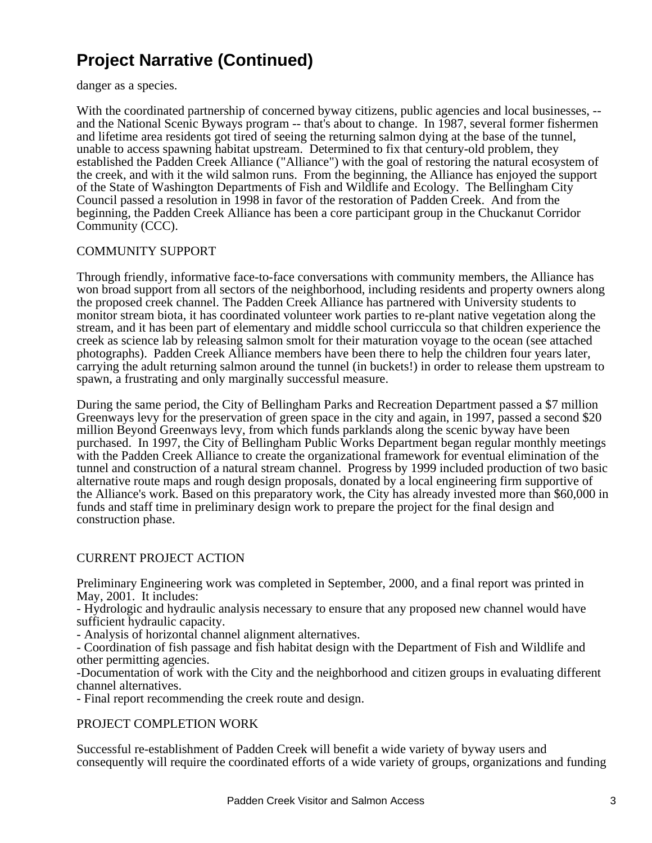danger as a species.

With the coordinated partnership of concerned byway citizens, public agencies and local businesses, -and the National Scenic Byways program -- that's about to change. In 1987, several former fishermen and lifetime area residents got tired of seeing the returning salmon dying at the base of the tunnel, unable to access spawning habitat upstream. Determined to fix that century-old problem, they established the Padden Creek Alliance ("Alliance") with the goal of restoring the natural ecosystem of the creek, and with it the wild salmon runs. From the beginning, the Alliance has enjoyed the support of the State of Washington Departments of Fish and Wildlife and Ecology. The Bellingham City Council passed a resolution in 1998 in favor of the restoration of Padden Creek. And from the beginning, the Padden Creek Alliance has been a core participant group in the Chuckanut Corridor Community (CCC).

#### COMMUNITY SUPPORT

Through friendly, informative face-to-face conversations with community members, the Alliance has won broad support from all sectors of the neighborhood, including residents and property owners along the proposed creek channel. The Padden Creek Alliance has partnered with University students to monitor stream biota, it has coordinated volunteer work parties to re-plant native vegetation along the stream, and it has been part of elementary and middle school curriccula so that children experience the creek as science lab by releasing salmon smolt for their maturation voyage to the ocean (see attached photographs). Padden Creek Alliance members have been there to help the children four years later, carrying the adult returning salmon around the tunnel (in buckets!) in order to release them upstream to spawn, a frustrating and only marginally successful measure.

During the same period, the City of Bellingham Parks and Recreation Department passed a \$7 million Greenways levy for the preservation of green space in the city and again, in 1997, passed a second \$20 million Beyond Greenways levy, from which funds parklands along the scenic byway have been purchased. In 1997, the City of Bellingham Public Works Department began regular monthly meetings with the Padden Creek Alliance to create the organizational framework for eventual elimination of the tunnel and construction of a natural stream channel. Progress by 1999 included production of two basic alternative route maps and rough design proposals, donated by a local engineering firm supportive of the Alliance's work. Based on this preparatory work, the City has already invested more than \$60,000 in funds and staff time in preliminary design work to prepare the project for the final design and construction phase.

#### CURRENT PROJECT ACTION

Preliminary Engineering work was completed in September, 2000, and a final report was printed in May, 2001. It includes:

- Hydrologic and hydraulic analysis necessary to ensure that any proposed new channel would have sufficient hydraulic capacity.

- Analysis of horizontal channel alignment alternatives.

- Coordination of fish passage and fish habitat design with the Department of Fish and Wildlife and other permitting agencies.

-Documentation of work with the City and the neighborhood and citizen groups in evaluating different channel alternatives.

- Final report recommending the creek route and design.

#### PROJECT COMPLETION WORK

Successful re-establishment of Padden Creek will benefit a wide variety of byway users and consequently will require the coordinated efforts of a wide variety of groups, organizations and funding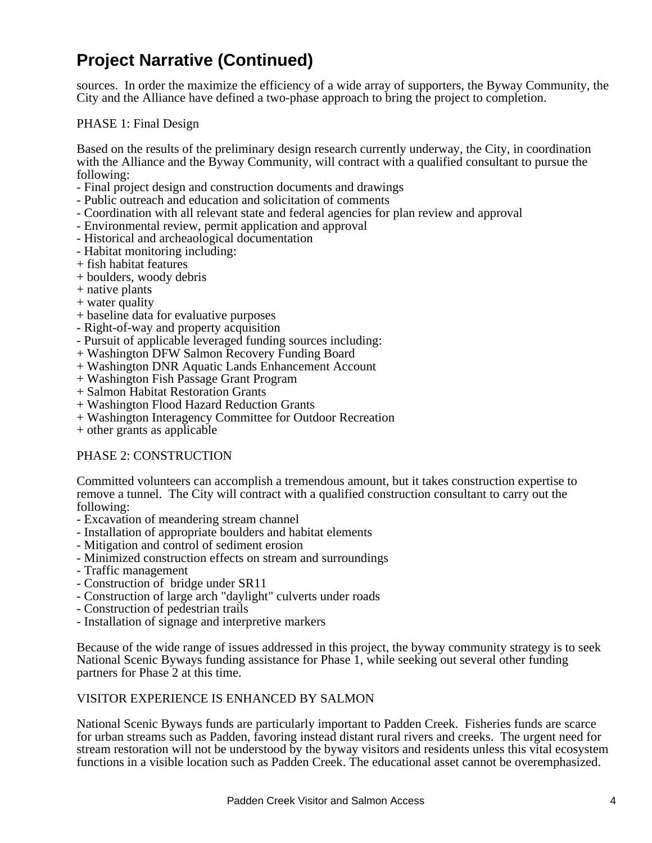sources. In order the maximize the efficiency of a wide array of supporters, the Byway Community, the City and the Alliance have defined a two-phase approach to bring the project to completion.

#### PHASE 1: Final Design

Based on the results of the preliminary design research currently underway, the City, in coordination with the Alliance and the Byway Community, will contract with a qualified consultant to pursue the following:

- Final project design and construction documents and drawings
- Public outreach and education and solicitation of comments
- Coordination with all relevant state and federal agencies for plan review and approval
- Environmental review, permit application and approval
- Historical and archeaological documentation
- Habitat monitoring including:
- + fish habitat features
- + boulders, woody debris
- + native plants
- + water quality
- + baseline data for evaluative purposes
- Right-of-way and property acquisition
- Pursuit of applicable leveraged funding sources including:
- + Washington DFW Salmon Recovery Funding Board
- + Washington DNR Aquatic Lands Enhancement Account
- + Washington Fish Passage Grant Program
- + Salmon Habitat Restoration Grants
- + Washington Flood Hazard Reduction Grants
- + Washington Interagency Committee for Outdoor Recreation
- + other grants as applicable

#### PHASE 2: CONSTRUCTION

Committed volunteers can accomplish a tremendous amount, but it takes construction expertise to remove a tunnel. The City will contract with a qualified construction consultant to carry out the following:

- Excavation of meandering stream channel
- Installation of appropriate boulders and habitat elements
- Mitigation and control of sediment erosion
- Minimized construction effects on stream and surroundings
- Traffic management
- Construction of bridge under SR11
- Construction of large arch "daylight" culverts under roads
- Construction of pedestrian trails
- Installation of signage and interpretive markers

Because of the wide range of issues addressed in this project, the byway community strategy is to seek National Scenic Byways funding assistance for Phase 1, while seeking out several other funding partners for Phase 2 at this time.

#### VISITOR EXPERIENCE IS ENHANCED BY SALMON

National Scenic Byways funds are particularly important to Padden Creek. Fisheries funds are scarce for urban streams such as Padden, favoring instead distant rural rivers and creeks. The urgent need for stream restoration will not be understood by the byway visitors and residents unless this vital ecosystem functions in a visible location such as Padden Creek. The educational asset cannot be overemphasized.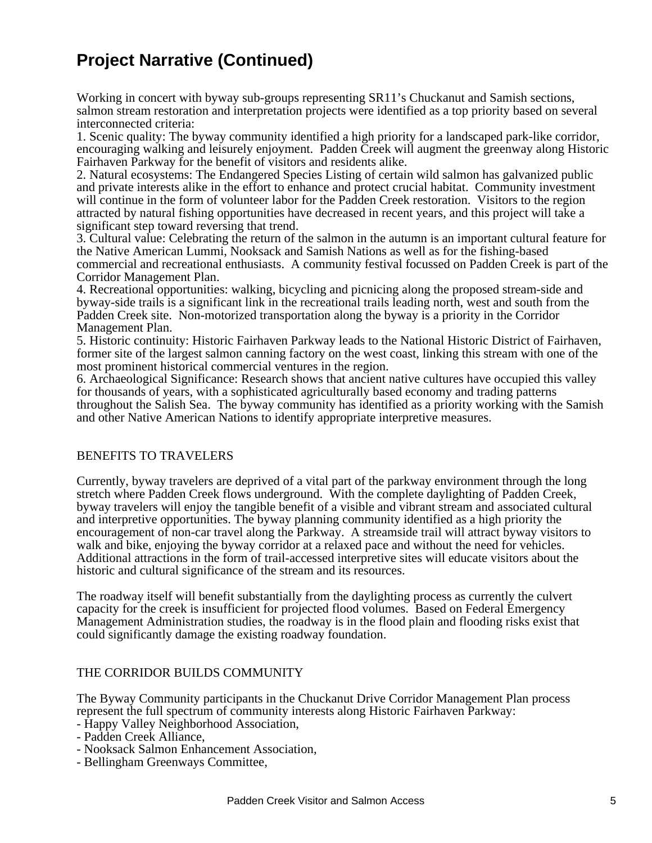Working in concert with byway sub-groups representing SR11's Chuckanut and Samish sections, salmon stream restoration and interpretation projects were identified as a top priority based on several interconnected criteria:

1. Scenic quality: The byway community identified a high priority for a landscaped park-like corridor, encouraging walking and leisurely enjoyment. Padden Creek will augment the greenway along Historic Fairhaven Parkway for the benefit of visitors and residents alike.

2. Natural ecosystems: The Endangered Species Listing of certain wild salmon has galvanized public and private interests alike in the effort to enhance and protect crucial habitat. Community investment will continue in the form of volunteer labor for the Padden Creek restoration. Visitors to the region attracted by natural fishing opportunities have decreased in recent years, and this project will take a significant step toward reversing that trend.

3. Cultural value: Celebrating the return of the salmon in the autumn is an important cultural feature for the Native American Lummi, Nooksack and Samish Nations as well as for the fishing-based commercial and recreational enthusiasts. A community festival focussed on Padden Creek is part of the Corridor Management Plan.

4. Recreational opportunities: walking, bicycling and picnicing along the proposed stream-side and byway-side trails is a significant link in the recreational trails leading north, west and south from the Padden Creek site. Non-motorized transportation along the byway is a priority in the Corridor Management Plan.

5. Historic continuity: Historic Fairhaven Parkway leads to the National Historic District of Fairhaven, former site of the largest salmon canning factory on the west coast, linking this stream with one of the most prominent historical commercial ventures in the region.

6. Archaeological Significance: Research shows that ancient native cultures have occupied this valley for thousands of years, with a sophisticated agriculturally based economy and trading patterns throughout the Salish Sea. The byway community has identified as a priority working with the Samish and other Native American Nations to identify appropriate interpretive measures.

#### BENEFITS TO TRAVELERS

Currently, byway travelers are deprived of a vital part of the parkway environment through the long stretch where Padden Creek flows underground. With the complete daylighting of Padden Creek, byway travelers will enjoy the tangible benefit of a visible and vibrant stream and associated cultural and interpretive opportunities. The byway planning community identified as a high priority the encouragement of non-car travel along the Parkway. A streamside trail will attract byway visitors to walk and bike, enjoying the byway corridor at a relaxed pace and without the need for vehicles. Additional attractions in the form of trail-accessed interpretive sites will educate visitors about the historic and cultural significance of the stream and its resources.

The roadway itself will benefit substantially from the daylighting process as currently the culvert capacity for the creek is insufficient for projected flood volumes. Based on Federal Emergency Management Administration studies, the roadway is in the flood plain and flooding risks exist that could significantly damage the existing roadway foundation.

#### THE CORRIDOR BUILDS COMMUNITY

The Byway Community participants in the Chuckanut Drive Corridor Management Plan process represent the full spectrum of community interests along Historic Fairhaven Parkway:

- Happy Valley Neighborhood Association,
- Padden Creek Alliance,
- Nooksack Salmon Enhancement Association,
- Bellingham Greenways Committee,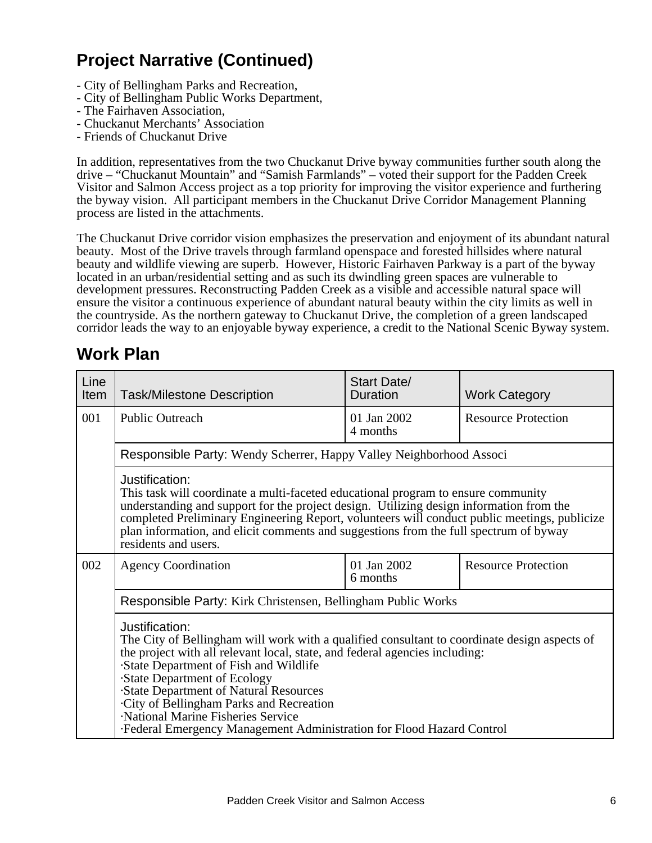- City of Bellingham Parks and Recreation,
- City of Bellingham Public Works Department,
- The Fairhaven Association,
- Chuckanut Merchants' Association
- Friends of Chuckanut Drive

In addition, representatives from the two Chuckanut Drive byway communities further south along the drive – "Chuckanut Mountain" and "Samish Farmlands" – voted their support for the Padden Creek Visitor and Salmon Access project as a top priority for improving the visitor experience and furthering the byway vision. All participant members in the Chuckanut Drive Corridor Management Planning process are listed in the attachments.

The Chuckanut Drive corridor vision emphasizes the preservation and enjoyment of its abundant natural beauty. Most of the Drive travels through farmland openspace and forested hillsides where natural beauty and wildlife viewing are superb. However, Historic Fairhaven Parkway is a part of the byway located in an urban/residential setting and as such its dwindling green spaces are vulnerable to development pressures. Reconstructing Padden Creek as a visible and accessible natural space will ensure the visitor a continuous experience of abundant natural beauty within the city limits as well in the countryside. As the northern gateway to Chuckanut Drive, the completion of a green landscaped corridor leads the way to an enjoyable byway experience, a credit to the National Scenic Byway system.

### **Work Plan**

| Line<br>Item                                                                                                                                                                                                                                                                                                                                                                                                    | <b>Task/Milestone Description</b>                                                                                                                                                                                                                                                                                                                                                                                                                                                       | <b>Start Date/</b><br>Duration | <b>Work Category</b>       |  |
|-----------------------------------------------------------------------------------------------------------------------------------------------------------------------------------------------------------------------------------------------------------------------------------------------------------------------------------------------------------------------------------------------------------------|-----------------------------------------------------------------------------------------------------------------------------------------------------------------------------------------------------------------------------------------------------------------------------------------------------------------------------------------------------------------------------------------------------------------------------------------------------------------------------------------|--------------------------------|----------------------------|--|
| 001                                                                                                                                                                                                                                                                                                                                                                                                             | <b>Public Outreach</b>                                                                                                                                                                                                                                                                                                                                                                                                                                                                  | 01 Jan 2002<br>4 months        | <b>Resource Protection</b> |  |
|                                                                                                                                                                                                                                                                                                                                                                                                                 | Responsible Party: Wendy Scherrer, Happy Valley Neighborhood Associ                                                                                                                                                                                                                                                                                                                                                                                                                     |                                |                            |  |
| Justification:<br>This task will coordinate a multi-faceted educational program to ensure community<br>understanding and support for the project design. Utilizing design information from the<br>completed Preliminary Engineering Report, volunteers will conduct public meetings, publicize<br>plan information, and elicit comments and suggestions from the full spectrum of byway<br>residents and users. |                                                                                                                                                                                                                                                                                                                                                                                                                                                                                         |                                |                            |  |
| 002<br>01 Jan 2002<br><b>Agency Coordination</b><br>6 months                                                                                                                                                                                                                                                                                                                                                    |                                                                                                                                                                                                                                                                                                                                                                                                                                                                                         |                                | <b>Resource Protection</b> |  |
|                                                                                                                                                                                                                                                                                                                                                                                                                 | Responsible Party: Kirk Christensen, Bellingham Public Works                                                                                                                                                                                                                                                                                                                                                                                                                            |                                |                            |  |
|                                                                                                                                                                                                                                                                                                                                                                                                                 | Justification:<br>The City of Bellingham will work with a qualified consultant to coordinate design aspects of<br>the project with all relevant local, state, and federal agencies including:<br>· State Department of Fish and Wildlife<br><b>State Department of Ecology</b><br>· State Department of Natural Resources<br>· City of Bellingham Parks and Recreation<br>· National Marine Fisheries Service<br>· Federal Emergency Management Administration for Flood Hazard Control |                                |                            |  |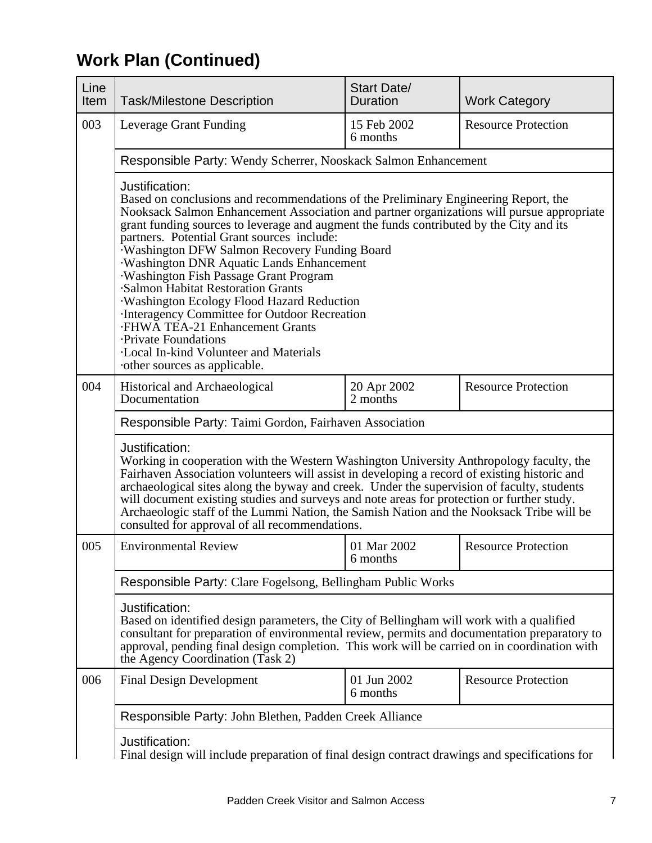# **Work Plan (Continued)**

| Line<br>Item                                                                                                                                                                                                                                                                                                                                                                                                                                                                                                                                        | <b>Task/Milestone Description</b>                                                                                                                                                                                                                                                                                                                                                                                                                                                                                                                                                                                                                                                                                                                                      | <b>Start Date/</b><br><b>Duration</b> | <b>Work Category</b>       |  |
|-----------------------------------------------------------------------------------------------------------------------------------------------------------------------------------------------------------------------------------------------------------------------------------------------------------------------------------------------------------------------------------------------------------------------------------------------------------------------------------------------------------------------------------------------------|------------------------------------------------------------------------------------------------------------------------------------------------------------------------------------------------------------------------------------------------------------------------------------------------------------------------------------------------------------------------------------------------------------------------------------------------------------------------------------------------------------------------------------------------------------------------------------------------------------------------------------------------------------------------------------------------------------------------------------------------------------------------|---------------------------------------|----------------------------|--|
| 003                                                                                                                                                                                                                                                                                                                                                                                                                                                                                                                                                 | Leverage Grant Funding                                                                                                                                                                                                                                                                                                                                                                                                                                                                                                                                                                                                                                                                                                                                                 | 15 Feb 2002<br>6 months               | <b>Resource Protection</b> |  |
|                                                                                                                                                                                                                                                                                                                                                                                                                                                                                                                                                     | Responsible Party: Wendy Scherrer, Nooskack Salmon Enhancement                                                                                                                                                                                                                                                                                                                                                                                                                                                                                                                                                                                                                                                                                                         |                                       |                            |  |
|                                                                                                                                                                                                                                                                                                                                                                                                                                                                                                                                                     | Justification:<br>Based on conclusions and recommendations of the Preliminary Engineering Report, the<br>Nooksack Salmon Enhancement Association and partner organizations will pursue appropriate<br>grant funding sources to leverage and augment the funds contributed by the City and its<br>partners. Potential Grant sources include:<br>· Washington DFW Salmon Recovery Funding Board<br>· Washington DNR Aquatic Lands Enhancement<br>· Washington Fish Passage Grant Program<br>· Salmon Habitat Restoration Grants<br>· Washington Ecology Flood Hazard Reduction<br>· Interagency Committee for Outdoor Recreation<br>· FHWA TEA-21 Enhancement Grants<br>· Private Foundations<br>· Local In-kind Volunteer and Materials<br>other sources as applicable. |                                       |                            |  |
| 004                                                                                                                                                                                                                                                                                                                                                                                                                                                                                                                                                 | Historical and Archaeological<br>Documentation                                                                                                                                                                                                                                                                                                                                                                                                                                                                                                                                                                                                                                                                                                                         | 20 Apr 2002<br>2 months               | <b>Resource Protection</b> |  |
|                                                                                                                                                                                                                                                                                                                                                                                                                                                                                                                                                     | Responsible Party: Taimi Gordon, Fairhaven Association                                                                                                                                                                                                                                                                                                                                                                                                                                                                                                                                                                                                                                                                                                                 |                                       |                            |  |
| Justification:<br>Working in cooperation with the Western Washington University Anthropology faculty, the<br>Fairhaven Association volunteers will assist in developing a record of existing historic and<br>archaeological sites along the byway and creek. Under the supervision of faculty, students<br>will document existing studies and surveys and note areas for protection or further study.<br>Archaeologic staff of the Lummi Nation, the Samish Nation and the Nooksack Tribe will be<br>consulted for approval of all recommendations. |                                                                                                                                                                                                                                                                                                                                                                                                                                                                                                                                                                                                                                                                                                                                                                        |                                       |                            |  |
| 005                                                                                                                                                                                                                                                                                                                                                                                                                                                                                                                                                 | <b>Environmental Review</b>                                                                                                                                                                                                                                                                                                                                                                                                                                                                                                                                                                                                                                                                                                                                            | 01 Mar 2002<br>6 months               | <b>Resource Protection</b> |  |
|                                                                                                                                                                                                                                                                                                                                                                                                                                                                                                                                                     | Responsible Party: Clare Fogelsong, Bellingham Public Works                                                                                                                                                                                                                                                                                                                                                                                                                                                                                                                                                                                                                                                                                                            |                                       |                            |  |
| Justification:<br>Based on identified design parameters, the City of Bellingham will work with a qualified<br>consultant for preparation of environmental review, permits and documentation preparatory to<br>approval, pending final design completion. This work will be carried on in coordination with<br>the Agency Coordination (Task 2)                                                                                                                                                                                                      |                                                                                                                                                                                                                                                                                                                                                                                                                                                                                                                                                                                                                                                                                                                                                                        |                                       |                            |  |
| 006                                                                                                                                                                                                                                                                                                                                                                                                                                                                                                                                                 | <b>Final Design Development</b>                                                                                                                                                                                                                                                                                                                                                                                                                                                                                                                                                                                                                                                                                                                                        | 01 Jun 2002<br>6 months               | <b>Resource Protection</b> |  |
|                                                                                                                                                                                                                                                                                                                                                                                                                                                                                                                                                     | Responsible Party: John Blethen, Padden Creek Alliance                                                                                                                                                                                                                                                                                                                                                                                                                                                                                                                                                                                                                                                                                                                 |                                       |                            |  |
| Justification:<br>Final design will include preparation of final design contract drawings and specifications for                                                                                                                                                                                                                                                                                                                                                                                                                                    |                                                                                                                                                                                                                                                                                                                                                                                                                                                                                                                                                                                                                                                                                                                                                                        |                                       |                            |  |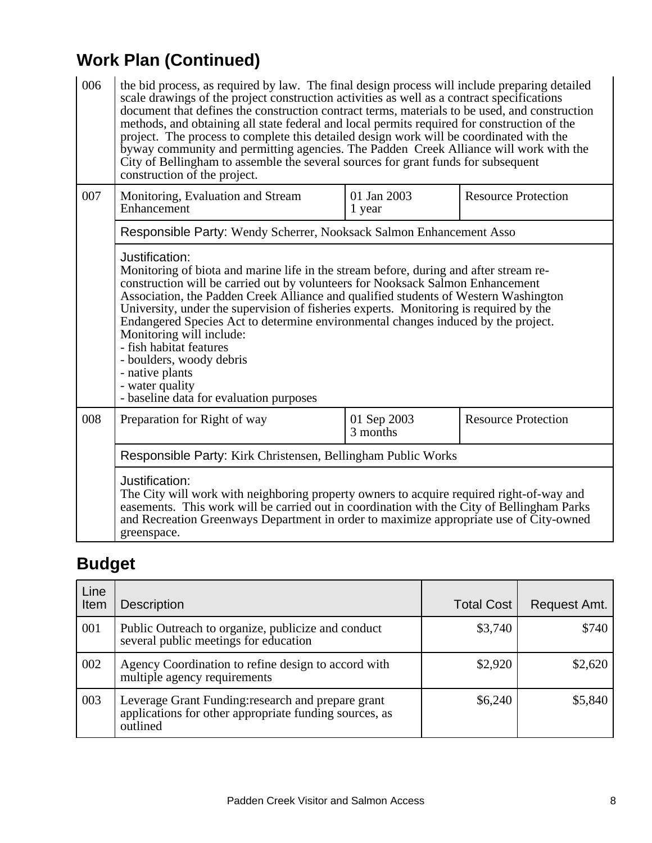# **Work Plan (Continued)**

| 006 | the bid process, as required by law. The final design process will include preparing detailed<br>scale drawings of the project construction activities as well as a contract specifications<br>document that defines the construction contract terms, materials to be used, and construction<br>methods, and obtaining all state federal and local permits required for construction of the<br>project. The process to complete this detailed design work will be coordinated with the<br>byway community and permitting agencies. The Padden Creek Alliance will work with the<br>City of Bellingham to assemble the several sources for grant funds for subsequent<br>construction of the project. |  |  |  |  |  |
|-----|------------------------------------------------------------------------------------------------------------------------------------------------------------------------------------------------------------------------------------------------------------------------------------------------------------------------------------------------------------------------------------------------------------------------------------------------------------------------------------------------------------------------------------------------------------------------------------------------------------------------------------------------------------------------------------------------------|--|--|--|--|--|
| 007 | 01 Jan 2003<br><b>Resource Protection</b><br>Monitoring, Evaluation and Stream<br>Enhancement<br>1 year                                                                                                                                                                                                                                                                                                                                                                                                                                                                                                                                                                                              |  |  |  |  |  |
|     | Responsible Party: Wendy Scherrer, Nooksack Salmon Enhancement Asso                                                                                                                                                                                                                                                                                                                                                                                                                                                                                                                                                                                                                                  |  |  |  |  |  |
|     | Justification:<br>Monitoring of biota and marine life in the stream before, during and after stream re-<br>construction will be carried out by volunteers for Nooksack Salmon Enhancement<br>Association, the Padden Creek Alliance and qualified students of Western Washington<br>University, under the supervision of fisheries experts. Monitoring is required by the<br>Endangered Species Act to determine environmental changes induced by the project.<br>Monitoring will include:<br>- fish habitat features<br>- boulders, woody debris<br>- native plants<br>- water quality<br>- baseline data for evaluation purposes                                                                   |  |  |  |  |  |
| 008 | <b>Resource Protection</b><br>Preparation for Right of way<br>01 Sep 2003<br>3 months                                                                                                                                                                                                                                                                                                                                                                                                                                                                                                                                                                                                                |  |  |  |  |  |
|     | Responsible Party: Kirk Christensen, Bellingham Public Works                                                                                                                                                                                                                                                                                                                                                                                                                                                                                                                                                                                                                                         |  |  |  |  |  |
|     | Justification:<br>The City will work with neighboring property owners to acquire required right-of-way and<br>easements. This work will be carried out in coordination with the City of Bellingham Parks<br>and Recreation Greenways Department in order to maximize appropriate use of City-owned<br>greenspace.                                                                                                                                                                                                                                                                                                                                                                                    |  |  |  |  |  |

# **Budget**

| Line<br>Item | <b>Description</b>                                                                                                       | <b>Total Cost</b> | Request Amt. |
|--------------|--------------------------------------------------------------------------------------------------------------------------|-------------------|--------------|
| 001          | Public Outreach to organize, publicize and conduct<br>several public meetings for education                              | \$3,740           | \$740        |
| 002          | Agency Coordination to refine design to accord with<br>multiple agency requirements                                      | \$2,920           | \$2,620      |
| 003          | Leverage Grant Funding: research and prepare grant<br>applications for other appropriate funding sources, as<br>outlined | \$6,240           | \$5,840      |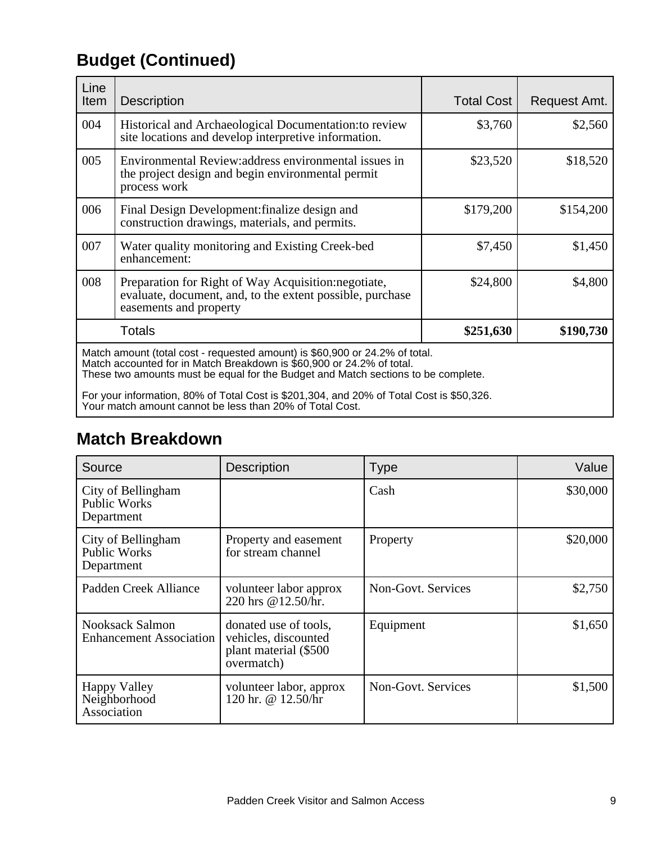# **Budget (Continued)**

| Line<br>Item | <b>Description</b>                                                                                                                                                                                                                                                                                                                    | <b>Total Cost</b> | Request Amt. |
|--------------|---------------------------------------------------------------------------------------------------------------------------------------------------------------------------------------------------------------------------------------------------------------------------------------------------------------------------------------|-------------------|--------------|
| 004          | Historical and Archaeological Documentation: to review<br>site locations and develop interpretive information.                                                                                                                                                                                                                        | \$3,760           | \$2,560      |
| 005          | Environmental Review: address environmental issues in<br>the project design and begin environmental permit<br>process work                                                                                                                                                                                                            | \$23,520          | \$18,520     |
| 006          | Final Design Development: finalize design and<br>construction drawings, materials, and permits.                                                                                                                                                                                                                                       | \$179,200         | \$154,200    |
| 007          | Water quality monitoring and Existing Creek-bed<br>enhancement:                                                                                                                                                                                                                                                                       | \$7,450           | \$1,450      |
| 008          | Preparation for Right of Way Acquisition: negotiate,<br>evaluate, document, and, to the extent possible, purchase<br>easements and property                                                                                                                                                                                           | \$24,800          | \$4,800      |
|              | <b>Totals</b>                                                                                                                                                                                                                                                                                                                         | \$251,630         | \$190,730    |
|              | Match amount (total cost - requested amount) is \$60,900 or 24.2% of total.<br>Match accounted for in Match Breakdown is \$60,900 or 24.2% of total.<br>These two amounts must be equal for the Budget and Match sections to be complete.<br>For your information, 80% of Total Cost is \$201,304, and 20% of Total Cost is \$50,326. |                   |              |

Your match amount cannot be less than 20% of Total Cost.

## **Match Breakdown**

| Source                                                   | <b>Description</b>                                                                    | <b>Type</b>        | Value    |
|----------------------------------------------------------|---------------------------------------------------------------------------------------|--------------------|----------|
| City of Bellingham<br><b>Public Works</b><br>Department  |                                                                                       | Cash               | \$30,000 |
| City of Bellingham<br><b>Public Works</b><br>Department  | Property and easement<br>for stream channel                                           | Property           | \$20,000 |
| Padden Creek Alliance                                    | volunteer labor approx<br>220 hrs @12.50/hr.                                          | Non-Govt. Services | \$2,750  |
| <b>Nooksack Salmon</b><br><b>Enhancement Association</b> | donated use of tools,<br>vehicles, discounted<br>plant material (\$500)<br>overmatch) | Equipment          | \$1,650  |
| Happy Valley<br>Neighborhood<br>Association              | volunteer labor, approx<br>120 hr. @ 12.50/hr                                         | Non-Govt. Services | \$1,500  |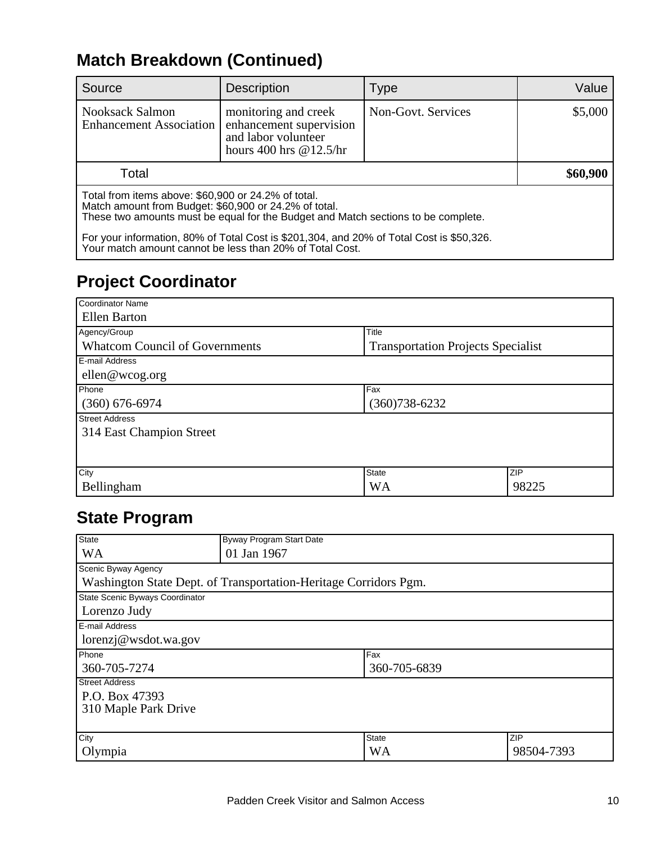## **Match Breakdown (Continued)**

| Source                                                                                                                                                                                                                                                                                                                                                    | <b>Description</b>                                                                                 | Type               | Value    |
|-----------------------------------------------------------------------------------------------------------------------------------------------------------------------------------------------------------------------------------------------------------------------------------------------------------------------------------------------------------|----------------------------------------------------------------------------------------------------|--------------------|----------|
| <b>Nooksack Salmon</b><br><b>Enhancement Association</b>                                                                                                                                                                                                                                                                                                  | monitoring and creek<br>enhancement supervision<br>and labor volunteer<br>hours 400 hrs $@12.5/hr$ | Non-Govt. Services | \$5,000  |
| Total                                                                                                                                                                                                                                                                                                                                                     |                                                                                                    |                    | \$60,900 |
| Total from items above: \$60,900 or 24.2% of total.<br>Match amount from Budget: \$60,900 or 24.2% of total.<br>These two amounts must be equal for the Budget and Match sections to be complete.<br>For your information, 80% of Total Cost is \$201,304, and 20% of Total Cost is \$50,326.<br>Your match amount cannot be less than 20% of Total Cost. |                                                                                                    |                    |          |

## **Project Coordinator**

| Coordinator Name                      |                                           |       |  |
|---------------------------------------|-------------------------------------------|-------|--|
| Ellen Barton                          |                                           |       |  |
| Agency/Group                          | Title                                     |       |  |
| <b>Whatcom Council of Governments</b> | <b>Transportation Projects Specialist</b> |       |  |
| E-mail Address                        |                                           |       |  |
| ellen@wcog.org                        |                                           |       |  |
| Phone                                 | Fax                                       |       |  |
| $(360)$ 676-6974                      | $(360)738 - 6232$                         |       |  |
| <b>Street Address</b>                 |                                           |       |  |
| 314 East Champion Street              |                                           |       |  |
|                                       |                                           |       |  |
|                                       |                                           |       |  |
| City                                  | State                                     | ZIP   |  |
| Bellingham                            | <b>WA</b>                                 | 98225 |  |

### **State Program**

| <b>State</b>                                                     | Byway Program Start Date |              |            |  |  |
|------------------------------------------------------------------|--------------------------|--------------|------------|--|--|
| <b>WA</b>                                                        | 01 Jan 1967              |              |            |  |  |
| Scenic Byway Agency                                              |                          |              |            |  |  |
| Washington State Dept. of Transportation-Heritage Corridors Pgm. |                          |              |            |  |  |
| State Scenic Byways Coordinator                                  |                          |              |            |  |  |
| Lorenzo Judy                                                     |                          |              |            |  |  |
| <b>IE-mail Address</b>                                           |                          |              |            |  |  |
| lorenzj@wsdot.wa.gov                                             |                          |              |            |  |  |
| Phone                                                            |                          | Fax          |            |  |  |
| 360-705-7274                                                     |                          | 360-705-6839 |            |  |  |
| <b>Street Address</b>                                            |                          |              |            |  |  |
| P.O. Box 47393                                                   |                          |              |            |  |  |
| 310 Maple Park Drive                                             |                          |              |            |  |  |
|                                                                  |                          |              |            |  |  |
| City                                                             |                          | <b>State</b> | ZIP        |  |  |
| Olympia                                                          |                          | <b>WA</b>    | 98504-7393 |  |  |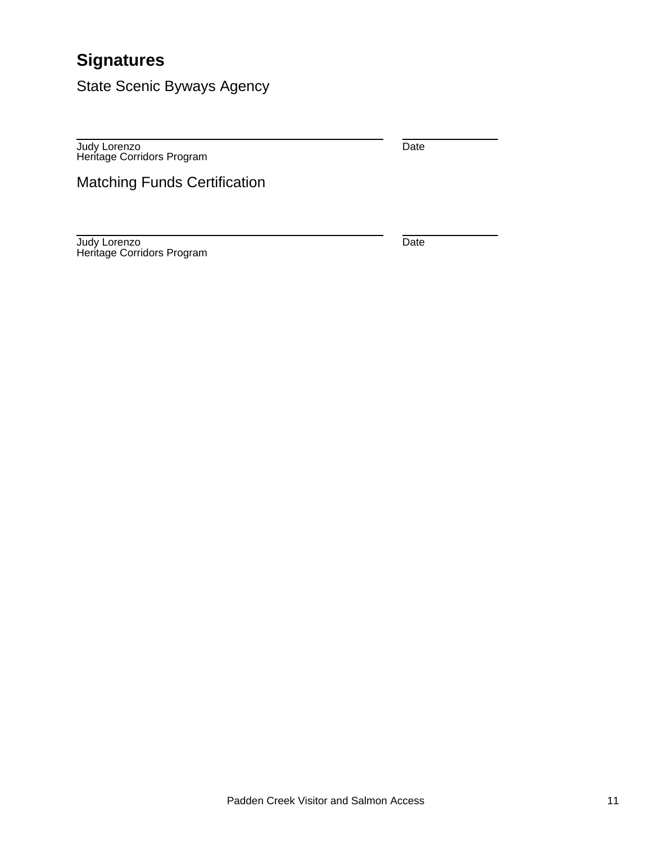### **Signatures**

State Scenic Byways Agency

Judy Lorenzo Heritage Corridors Program Date

Matching Funds Certification

Judy Lorenzo Heritage Corridors Program **Date**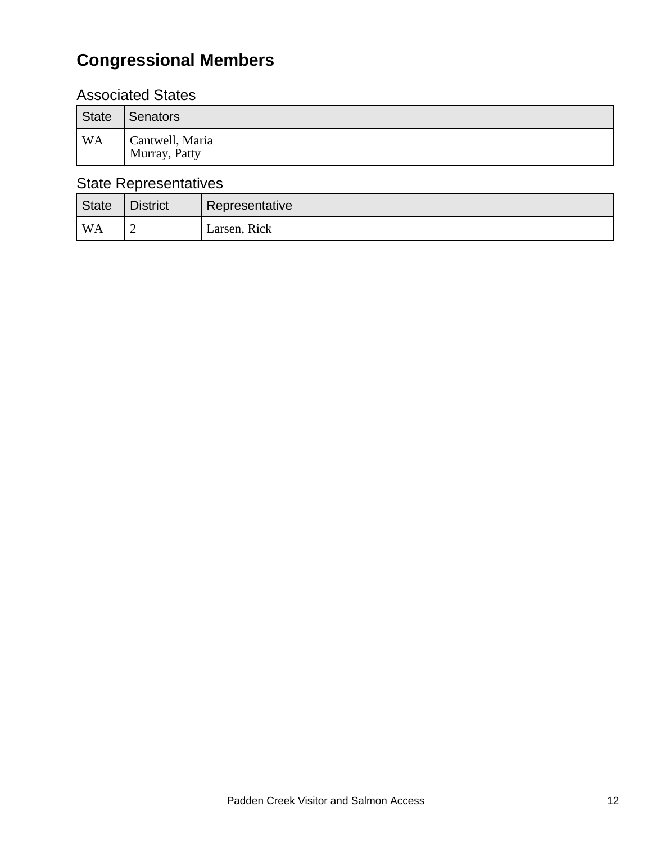# **Congressional Members**

### Associated States

| State          | Senators                         |
|----------------|----------------------------------|
| WA <sup></sup> | Cantwell, Maria<br>Murray, Patty |

### State Representatives

| State              | <b>District</b> | Representative |
|--------------------|-----------------|----------------|
| $^{\mathsf{I}}$ WA |                 | Larsen, Rick   |